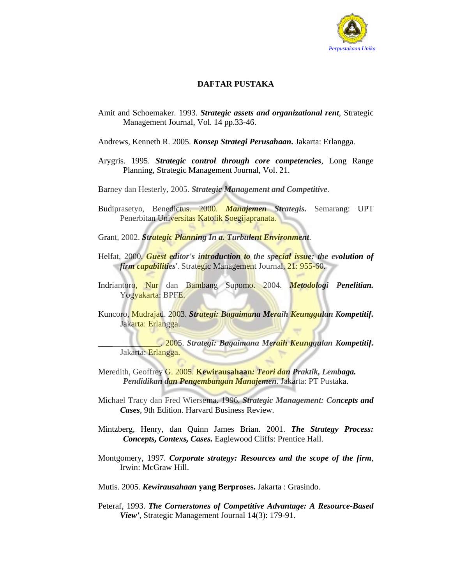

## **DAFTAR PUSTAKA**

- Amit and Schoemaker. 1993. *Strategic assets and organizational rent,* Strategic Management Journal, Vol. 14 pp.33-46.
- Andrews, Kenneth R. 2005. *Konsep Strategi Perusahaan***.** Jakarta: Erlangga.
- Arygris. 1995. *Strategic control through core competencies*, Long Range Planning, Strategic Management Journal, Vol. 21.
- Barney dan Hesterly, 2005. *Strategic Management and Competitive*.
- Budiprasetyo, Benedictus. 2000. *Manajemen Strategis.* Semarang: UPT Penerbitan Universitas Katolik Soegijapranata.
- Grant, 2002. *Strategic Planning In a. Turbulent Environment*.
- Helfat, 2000. *Guest editor's introduction to the special issue: the evolution of firm capabilities*'. Strategic Management Journal, 21: 955-60.
- Indriantoro, Nur dan Bambang Supomo. 2004. *Metodologi Penelitian.*  Yogyakarta: BPFE.
- Kuncoro, Mudrajad. 2003. *Strategi: Bagaimana Meraih Keunggulan Kompetitif.*  Jakarta: Erlangga.

\_\_\_\_\_\_\_\_\_\_\_\_\_\_\_. 2005. *Strategi: Bagaimana Meraih Keunggulan Kompetitif.*  Jakarta: Erlangga.

- Meredith, Geoffrey G. 2005. **Kewirausahaan***: Teori dan Praktik, Lembaga. Pendidikan dan Pengembangan Manajemen*. Jakarta: PT Pustaka.
- Michael Tracy dan Fred Wiersema. 1996. *Strategic Management: Concepts and Cases*, 9th Edition. Harvard Business Review.
- Mintzberg, Henry, dan Quinn James Brian. 2001. *The Strategy Process: Concepts, Contexs, Cases.* Eaglewood Cliffs: Prentice Hall.
- Montgomery, 1997. *Corporate strategy: Resources and the scope of the firm*, Irwin: McGraw Hill.
- Mutis. 2005. *Kewirausahaan* **yang Berproses.** Jakarta : Grasindo.
- Peteraf, 1993. *The Cornerstones of Competitive Advantage: A Resource-Based View'*, Strategic Management Journal 14(3): 179-91.